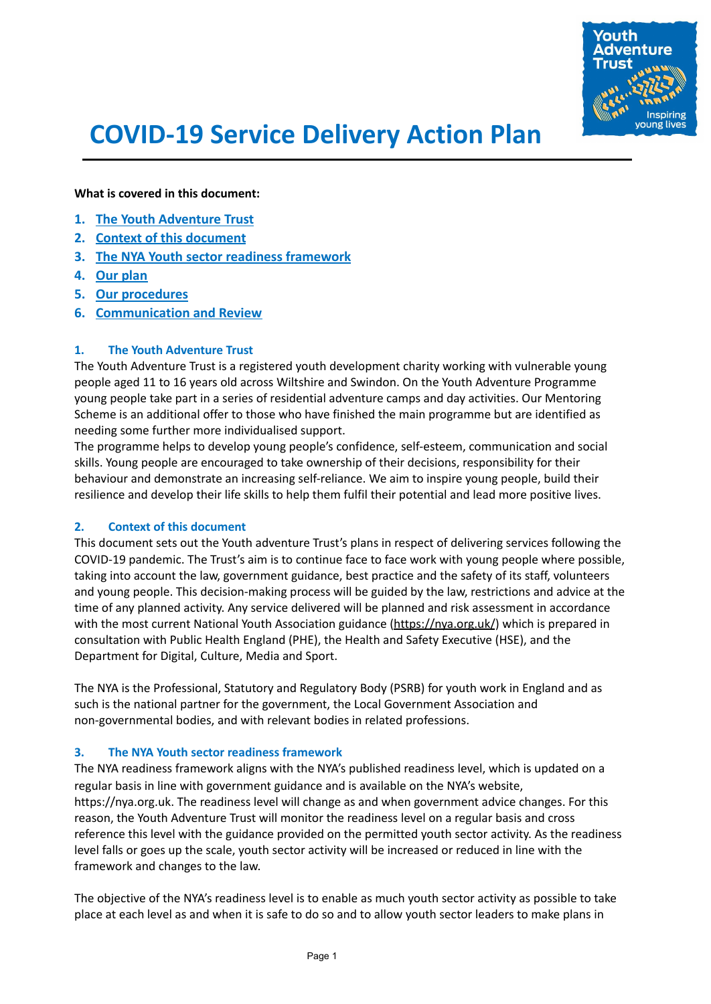

# **COVID-19 Service Delivery Action Plan**

**What is covered in this document:**

- **1. [The Youth Adventure Trust](#page-0-0)**
- **2. [Context of this document](#page-0-1)**
- **3. [The NYA Youth sector readiness framework](#page-0-2)**
- **4. [Our plan](#page-1-0)**
- **5. [Our procedures](#page-3-0)**
- **6. [Communication and Review](#page-5-0)**

# <span id="page-0-0"></span>**1. The Youth Adventure Trust**

The Youth Adventure Trust is a registered youth development charity working with vulnerable young people aged 11 to 16 years old across Wiltshire and Swindon. On the Youth Adventure Programme young people take part in a series of residential adventure camps and day activities. Our Mentoring Scheme is an additional offer to those who have finished the main programme but are identified as needing some further more individualised support.

The programme helps to develop young people's confidence, self-esteem, communication and social skills. Young people are encouraged to take ownership of their decisions, responsibility for their behaviour and demonstrate an increasing self-reliance. We aim to inspire young people, build their resilience and develop their life skills to help them fulfil their potential and lead more positive lives.

# <span id="page-0-1"></span>**2. Context of this document**

This document sets out the Youth adventure Trust's plans in respect of delivering services following the COVID-19 pandemic. The Trust's aim is to continue face to face work with young people where possible, taking into account the law, government guidance, best practice and the safety of its staff, volunteers and young people. This decision-making process will be guided by the law, restrictions and advice at the time of any planned activity. Any service delivered will be planned and risk assessment in accordance with the most current National Youth Association guidance [\(https://nya.org.uk/](https://nya.org.uk/)) which is prepared in consultation with Public Health England (PHE), the Health and Safety Executive (HSE), and the Department for Digital, Culture, Media and Sport.

The NYA is the Professional, Statutory and Regulatory Body (PSRB) for youth work in England and as such is the national partner for the government, the Local Government Association and non-governmental bodies, and with relevant bodies in related professions.

# <span id="page-0-2"></span>**3. The NYA Youth sector readiness framework**

The NYA readiness framework aligns with the NYA's published readiness level, which is updated on a regular basis in line with government guidance and is available on the NYA's website, https://nya.org.uk. The readiness level will change as and when government advice changes. For this reason, the Youth Adventure Trust will monitor the readiness level on a regular basis and cross reference this level with the guidance provided on the permitted youth sector activity. As the readiness level falls or goes up the scale, youth sector activity will be increased or reduced in line with the framework and changes to the law.

The objective of the NYA's readiness level is to enable as much youth sector activity as possible to take place at each level as and when it is safe to do so and to allow youth sector leaders to make plans in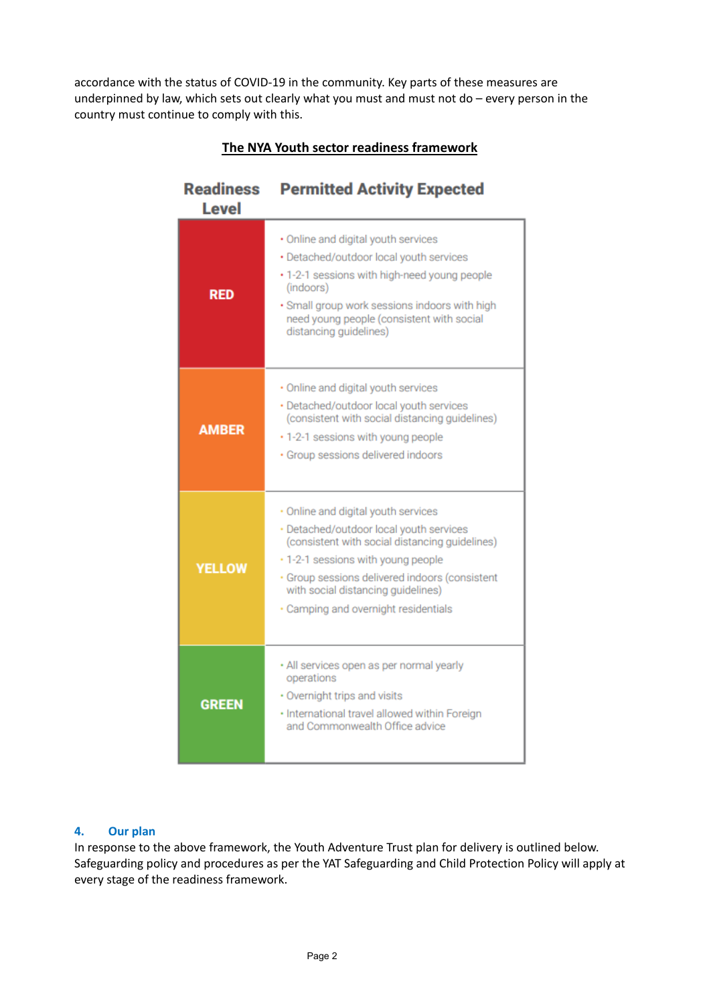accordance with the status of COVID-19 in the community. Key parts of these measures are underpinned by law, which sets out clearly what you must and must not do – every person in the country must continue to comply with this.

| <b>Readiness</b><br><b>Level</b> | <b>Permitted Activity Expected</b>                                                                                                                                                                                                                                                                     |
|----------------------------------|--------------------------------------------------------------------------------------------------------------------------------------------------------------------------------------------------------------------------------------------------------------------------------------------------------|
| <b>RED</b>                       | · Online and digital youth services<br>· Detached/outdoor local youth services<br>. 1-2-1 sessions with high-need young people<br>(indoors)<br>· Small group work sessions indoors with high<br>need young people (consistent with social<br>distancing guidelines)                                    |
| <b>AMBER</b>                     | · Online and digital youth services<br>· Detached/outdoor local youth services<br>(consistent with social distancing guidelines)<br>· 1-2-1 sessions with young people<br>· Group sessions delivered indoors                                                                                           |
| <b>YELLOW</b>                    | · Online and digital youth services<br>· Detached/outdoor local youth services<br>(consistent with social distancing guidelines)<br>. 1-2-1 sessions with young people<br>· Group sessions delivered indoors (consistent<br>with social distancing guidelines)<br>· Camping and overnight residentials |
| <b>GREEN</b>                     | · All services open as per normal yearly<br>operations<br>· Overnight trips and visits<br>· International travel allowed within Foreign<br>and Commonwealth Office advice                                                                                                                              |

# **The NYA Youth sector readiness framework**

# <span id="page-1-0"></span>**4. Our plan**

In response to the above framework, the Youth Adventure Trust plan for delivery is outlined below. Safeguarding policy and procedures as per the YAT Safeguarding and Child Protection Policy will apply at every stage of the readiness framework.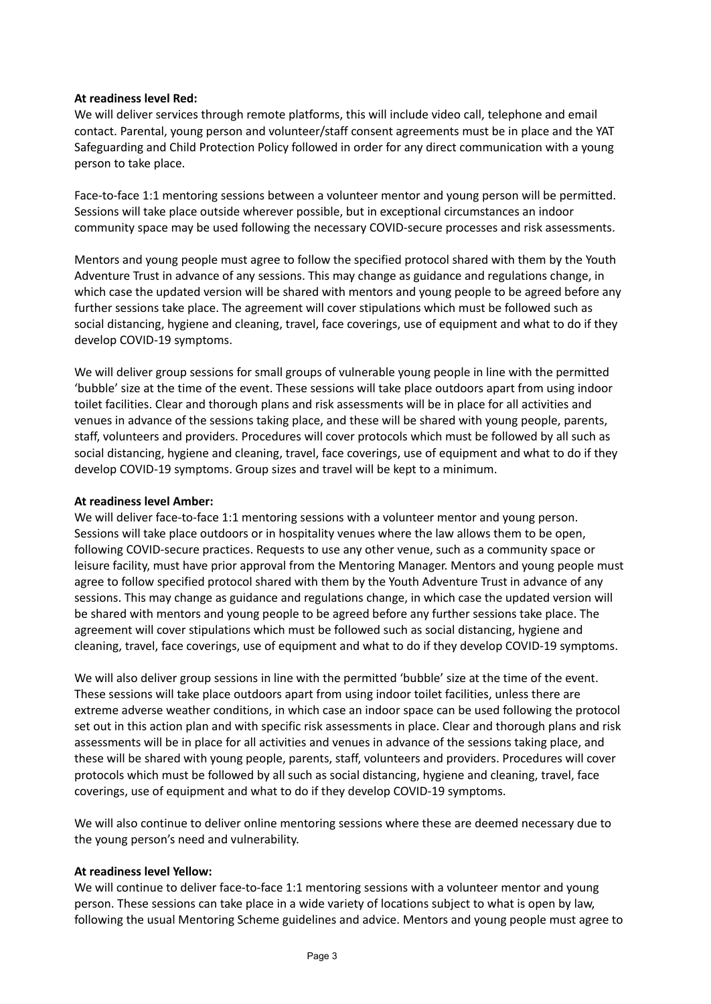# **At readiness level Red:**

We will deliver services through remote platforms, this will include video call, telephone and email contact. Parental, young person and volunteer/staff consent agreements must be in place and the YAT Safeguarding and Child Protection Policy followed in order for any direct communication with a young person to take place.

Face-to-face 1:1 mentoring sessions between a volunteer mentor and young person will be permitted. Sessions will take place outside wherever possible, but in exceptional circumstances an indoor community space may be used following the necessary COVID-secure processes and risk assessments.

Mentors and young people must agree to follow the specified protocol shared with them by the Youth Adventure Trust in advance of any sessions. This may change as guidance and regulations change, in which case the updated version will be shared with mentors and young people to be agreed before any further sessions take place. The agreement will cover stipulations which must be followed such as social distancing, hygiene and cleaning, travel, face coverings, use of equipment and what to do if they develop COVID-19 symptoms.

We will deliver group sessions for small groups of vulnerable young people in line with the permitted 'bubble' size at the time of the event. These sessions will take place outdoors apart from using indoor toilet facilities. Clear and thorough plans and risk assessments will be in place for all activities and venues in advance of the sessions taking place, and these will be shared with young people, parents, staff, volunteers and providers. Procedures will cover protocols which must be followed by all such as social distancing, hygiene and cleaning, travel, face coverings, use of equipment and what to do if they develop COVID-19 symptoms. Group sizes and travel will be kept to a minimum.

# **At readiness level Amber:**

We will deliver face-to-face 1:1 mentoring sessions with a volunteer mentor and young person. Sessions will take place outdoors or in hospitality venues where the law allows them to be open, following COVID-secure practices. Requests to use any other venue, such as a community space or leisure facility, must have prior approval from the Mentoring Manager. Mentors and young people must agree to follow specified protocol shared with them by the Youth Adventure Trust in advance of any sessions. This may change as guidance and regulations change, in which case the updated version will be shared with mentors and young people to be agreed before any further sessions take place. The agreement will cover stipulations which must be followed such as social distancing, hygiene and cleaning, travel, face coverings, use of equipment and what to do if they develop COVID-19 symptoms.

We will also deliver group sessions in line with the permitted 'bubble' size at the time of the event. These sessions will take place outdoors apart from using indoor toilet facilities, unless there are extreme adverse weather conditions, in which case an indoor space can be used following the protocol set out in this action plan and with specific risk assessments in place. Clear and thorough plans and risk assessments will be in place for all activities and venues in advance of the sessions taking place, and these will be shared with young people, parents, staff, volunteers and providers. Procedures will cover protocols which must be followed by all such as social distancing, hygiene and cleaning, travel, face coverings, use of equipment and what to do if they develop COVID-19 symptoms.

We will also continue to deliver online mentoring sessions where these are deemed necessary due to the young person's need and vulnerability.

# **At readiness level Yellow:**

We will continue to deliver face-to-face 1:1 mentoring sessions with a volunteer mentor and young person. These sessions can take place in a wide variety of locations subject to what is open by law, following the usual Mentoring Scheme guidelines and advice. Mentors and young people must agree to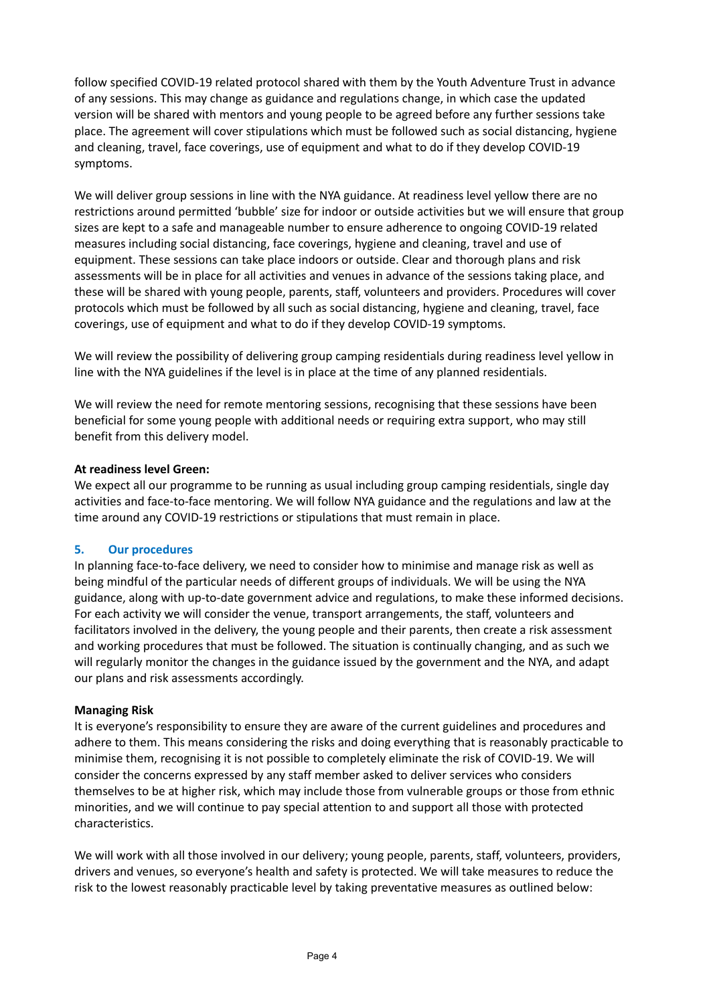follow specified COVID-19 related protocol shared with them by the Youth Adventure Trust in advance of any sessions. This may change as guidance and regulations change, in which case the updated version will be shared with mentors and young people to be agreed before any further sessions take place. The agreement will cover stipulations which must be followed such as social distancing, hygiene and cleaning, travel, face coverings, use of equipment and what to do if they develop COVID-19 symptoms.

We will deliver group sessions in line with the NYA guidance. At readiness level yellow there are no restrictions around permitted 'bubble' size for indoor or outside activities but we will ensure that group sizes are kept to a safe and manageable number to ensure adherence to ongoing COVID-19 related measures including social distancing, face coverings, hygiene and cleaning, travel and use of equipment. These sessions can take place indoors or outside. Clear and thorough plans and risk assessments will be in place for all activities and venues in advance of the sessions taking place, and these will be shared with young people, parents, staff, volunteers and providers. Procedures will cover protocols which must be followed by all such as social distancing, hygiene and cleaning, travel, face coverings, use of equipment and what to do if they develop COVID-19 symptoms.

We will review the possibility of delivering group camping residentials during readiness level yellow in line with the NYA guidelines if the level is in place at the time of any planned residentials.

We will review the need for remote mentoring sessions, recognising that these sessions have been beneficial for some young people with additional needs or requiring extra support, who may still benefit from this delivery model.

# **At readiness level Green:**

We expect all our programme to be running as usual including group camping residentials, single day activities and face-to-face mentoring. We will follow NYA guidance and the regulations and law at the time around any COVID-19 restrictions or stipulations that must remain in place.

# <span id="page-3-0"></span>**5. Our procedures**

In planning face-to-face delivery, we need to consider how to minimise and manage risk as well as being mindful of the particular needs of different groups of individuals. We will be using the NYA guidance, along with up-to-date government advice and regulations, to make these informed decisions. For each activity we will consider the venue, transport arrangements, the staff, volunteers and facilitators involved in the delivery, the young people and their parents, then create a risk assessment and working procedures that must be followed. The situation is continually changing, and as such we will regularly monitor the changes in the guidance issued by the government and the NYA, and adapt our plans and risk assessments accordingly.

# **Managing Risk**

It is everyone's responsibility to ensure they are aware of the current guidelines and procedures and adhere to them. This means considering the risks and doing everything that is reasonably practicable to minimise them, recognising it is not possible to completely eliminate the risk of COVID-19. We will consider the concerns expressed by any staff member asked to deliver services who considers themselves to be at higher risk, which may include those from vulnerable groups or those from ethnic minorities, and we will continue to pay special attention to and support all those with protected characteristics.

We will work with all those involved in our delivery; young people, parents, staff, volunteers, providers, drivers and venues, so everyone's health and safety is protected. We will take measures to reduce the risk to the lowest reasonably practicable level by taking preventative measures as outlined below: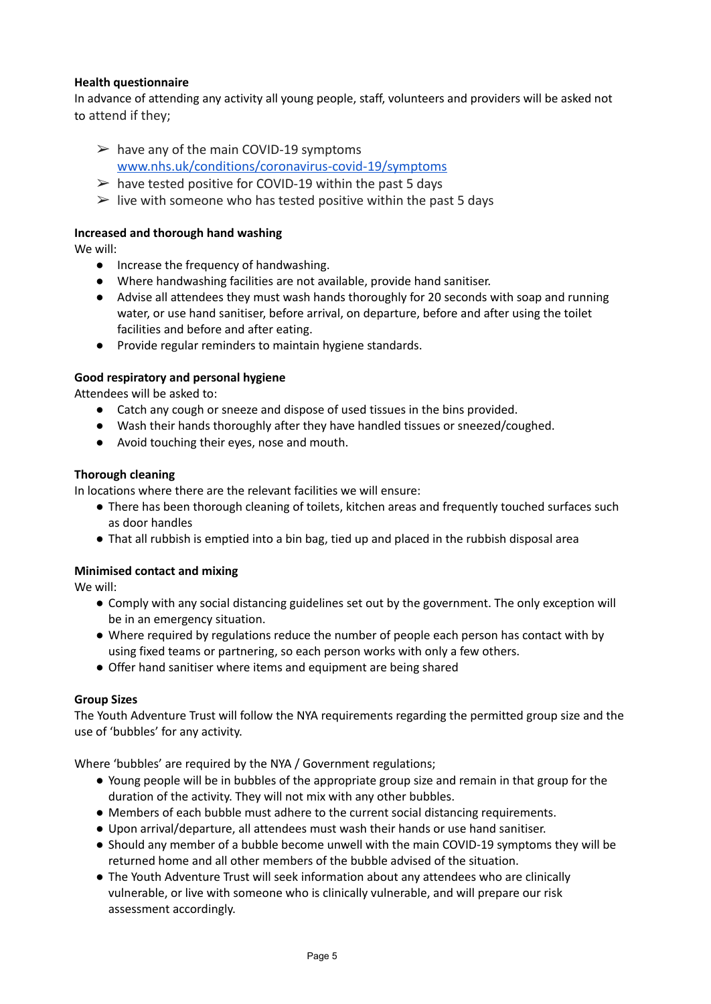# **Health questionnaire**

In advance of attending any activity all young people, staff, volunteers and providers will be asked not to attend if they;

- $\triangleright$  have any of the main COVID-19 symptoms [www.nhs.uk/conditions/coronavirus-covid-19/symptoms](http://www.nhs.uk/conditions/coronavirus-covid-19/symptoms)
- $\geq$  have tested positive for COVID-19 within the past 5 days
- $\triangleright$  live with someone who has tested positive within the past 5 days

# **Increased and thorough hand washing**

We will:

- Increase the frequency of handwashing.
- Where handwashing facilities are not available, provide hand sanitiser.
- Advise all attendees they must wash hands thoroughly for 20 seconds with soap and running water, or use hand sanitiser, before arrival, on departure, before and after using the toilet facilities and before and after eating.
- Provide regular reminders to maintain hygiene standards.

# **Good respiratory and personal hygiene**

Attendees will be asked to:

- Catch any cough or sneeze and dispose of used tissues in the bins provided.
- Wash their hands thoroughly after they have handled tissues or sneezed/coughed.
- Avoid touching their eyes, nose and mouth.

# **Thorough cleaning**

In locations where there are the relevant facilities we will ensure:

- There has been thorough cleaning of toilets, kitchen areas and frequently touched surfaces such as door handles
- That all rubbish is emptied into a bin bag, tied up and placed in the rubbish disposal area

# **Minimised contact and mixing**

We will:

- Comply with any social distancing guidelines set out by the government. The only exception will be in an emergency situation.
- Where required by regulations reduce the number of people each person has contact with by using fixed teams or partnering, so each person works with only a few others.
- Offer hand sanitiser where items and equipment are being shared

# **Group Sizes**

The Youth Adventure Trust will follow the NYA requirements regarding the permitted group size and the use of 'bubbles' for any activity.

Where 'bubbles' are required by the NYA / Government regulations:

- Young people will be in bubbles of the appropriate group size and remain in that group for the duration of the activity. They will not mix with any other bubbles.
- Members of each bubble must adhere to the current social distancing requirements.
- Upon arrival/departure, all attendees must wash their hands or use hand sanitiser.
- Should any member of a bubble become unwell with the main COVID-19 symptoms they will be returned home and all other members of the bubble advised of the situation.
- The Youth Adventure Trust will seek information about any attendees who are clinically vulnerable, or live with someone who is clinically vulnerable, and will prepare our risk assessment accordingly.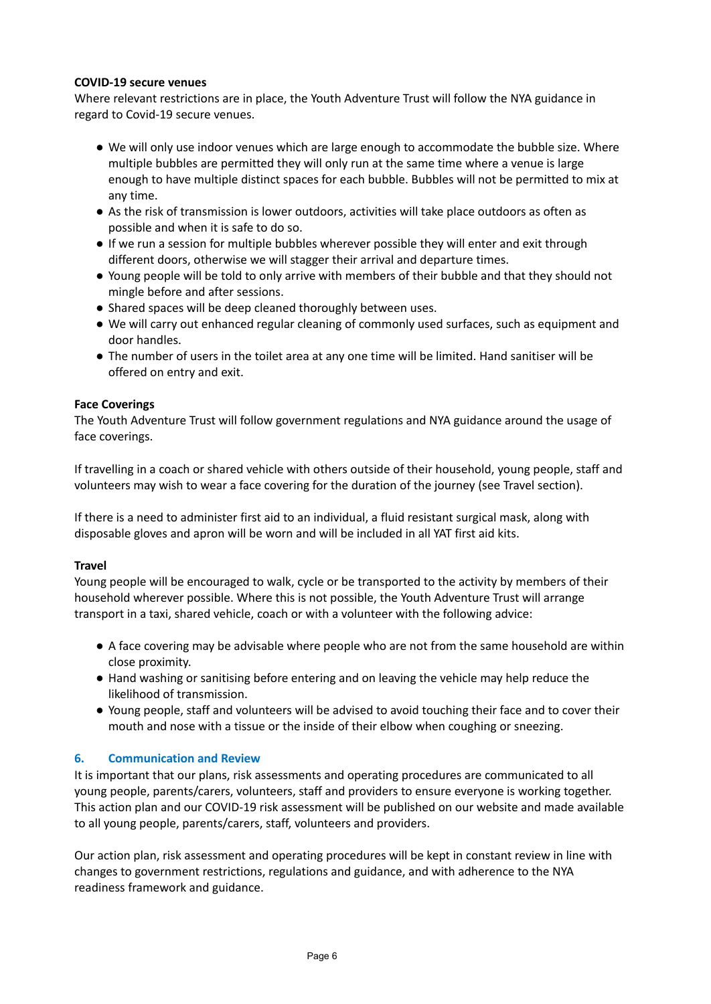# **COVID-19 secure venues**

Where relevant restrictions are in place, the Youth Adventure Trust will follow the NYA guidance in regard to Covid-19 secure venues.

- We will only use indoor venues which are large enough to accommodate the bubble size. Where multiple bubbles are permitted they will only run at the same time where a venue is large enough to have multiple distinct spaces for each bubble. Bubbles will not be permitted to mix at any time.
- As the risk of transmission is lower outdoors, activities will take place outdoors as often as possible and when it is safe to do so.
- If we run a session for multiple bubbles wherever possible they will enter and exit through different doors, otherwise we will stagger their arrival and departure times.
- Young people will be told to only arrive with members of their bubble and that they should not mingle before and after sessions.
- Shared spaces will be deep cleaned thoroughly between uses.
- We will carry out enhanced regular cleaning of commonly used surfaces, such as equipment and door handles.
- The number of users in the toilet area at any one time will be limited. Hand sanitiser will be offered on entry and exit.

# **Face Coverings**

The Youth Adventure Trust will follow government regulations and NYA guidance around the usage of face coverings.

If travelling in a coach or shared vehicle with others outside of their household, young people, staff and volunteers may wish to wear a face covering for the duration of the journey (see Travel section).

If there is a need to administer first aid to an individual, a fluid resistant surgical mask, along with disposable gloves and apron will be worn and will be included in all YAT first aid kits.

# **Travel**

Young people will be encouraged to walk, cycle or be transported to the activity by members of their household wherever possible. Where this is not possible, the Youth Adventure Trust will arrange transport in a taxi, shared vehicle, coach or with a volunteer with the following advice:

- A face covering may be advisable where people who are not from the same household are within close proximity.
- Hand washing or sanitising before entering and on leaving the vehicle may help reduce the likelihood of transmission.
- Young people, staff and volunteers will be advised to avoid touching their face and to cover their mouth and nose with a tissue or the inside of their elbow when coughing or sneezing.

# <span id="page-5-0"></span>**6. Communication and Review**

It is important that our plans, risk assessments and operating procedures are communicated to all young people, parents/carers, volunteers, staff and providers to ensure everyone is working together. This action plan and our COVID-19 risk assessment will be published on our website and made available to all young people, parents/carers, staff, volunteers and providers.

Our action plan, risk assessment and operating procedures will be kept in constant review in line with changes to government restrictions, regulations and guidance, and with adherence to the NYA readiness framework and guidance.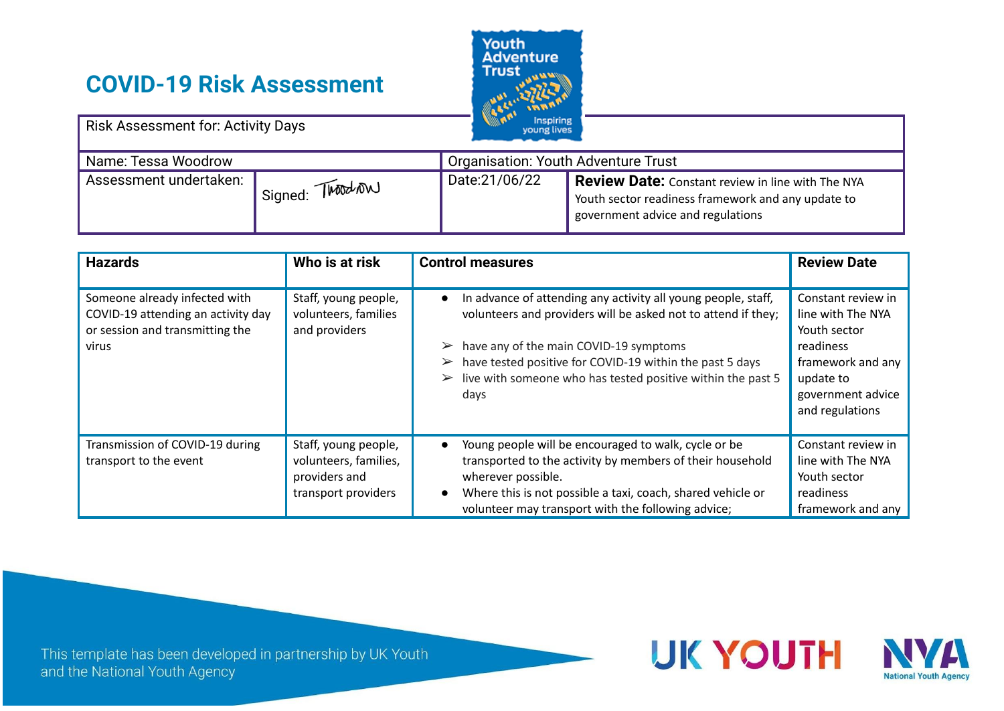# **COVID-19 Risk Assessment**



| <b>Risk Assessment for: Activity Days</b> |                 | <b>Inspiring</b><br>young lives            |                                                                                                                                                     |
|-------------------------------------------|-----------------|--------------------------------------------|-----------------------------------------------------------------------------------------------------------------------------------------------------|
| Name: Tessa Woodrow                       |                 | <b>Organisation: Youth Adventure Trust</b> |                                                                                                                                                     |
| Assessment undertaken:                    | Signed: Twoodow | Date:21/06/22                              | <b>Review Date:</b> Constant review in line with The NYA<br>Youth sector readiness framework and any update to<br>government advice and regulations |

| <b>Hazards</b>                                                                                                  | Who is at risk                                                                        | <b>Control measures</b>                                                                                                                                                                                                                                                                                                              | <b>Review Date</b>                                                                                                                             |
|-----------------------------------------------------------------------------------------------------------------|---------------------------------------------------------------------------------------|--------------------------------------------------------------------------------------------------------------------------------------------------------------------------------------------------------------------------------------------------------------------------------------------------------------------------------------|------------------------------------------------------------------------------------------------------------------------------------------------|
| Someone already infected with<br>COVID-19 attending an activity day<br>or session and transmitting the<br>virus | Staff, young people,<br>volunteers, families<br>and providers                         | In advance of attending any activity all young people, staff,<br>volunteers and providers will be asked not to attend if they;<br>have any of the main COVID-19 symptoms<br>have tested positive for COVID-19 within the past 5 days<br>$\blacktriangleright$<br>live with someone who has tested positive within the past 5<br>days | Constant review in<br>line with The NYA<br>Youth sector<br>readiness<br>framework and any<br>update to<br>government advice<br>and regulations |
| Transmission of COVID-19 during<br>transport to the event                                                       | Staff, young people,<br>volunteers, families,<br>providers and<br>transport providers | Young people will be encouraged to walk, cycle or be<br>transported to the activity by members of their household<br>wherever possible.<br>Where this is not possible a taxi, coach, shared vehicle or<br>volunteer may transport with the following advice;                                                                         | Constant review in<br>line with The NYA<br>Youth sector<br>readiness<br>framework and any                                                      |

This template has been developed in partnership by UK Youth and the National Youth Agency

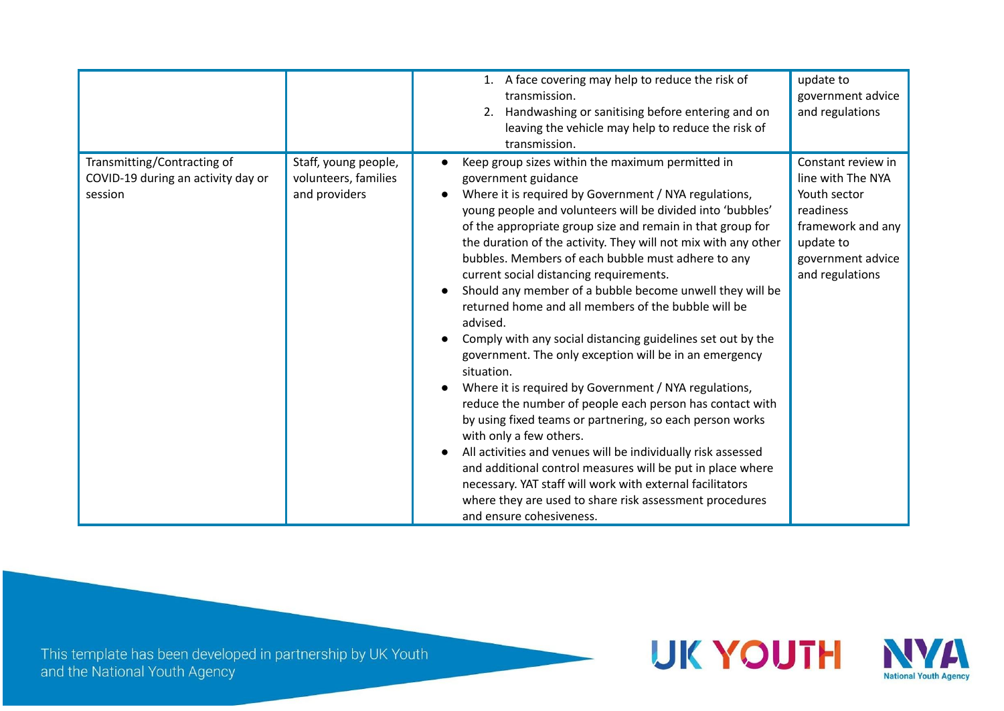|                                                                              |                                                               | 1. A face covering may help to reduce the risk of<br>transmission.<br>Handwashing or sanitising before entering and on<br>2.<br>leaving the vehicle may help to reduce the risk of<br>transmission.                                                                                                                                                                                                                                                                                                                                                                                                                                                                                                                                                                                                                                                                                                                                                                                                                                                                                                                                                                                                 | update to<br>government advice<br>and regulations                                                                                              |
|------------------------------------------------------------------------------|---------------------------------------------------------------|-----------------------------------------------------------------------------------------------------------------------------------------------------------------------------------------------------------------------------------------------------------------------------------------------------------------------------------------------------------------------------------------------------------------------------------------------------------------------------------------------------------------------------------------------------------------------------------------------------------------------------------------------------------------------------------------------------------------------------------------------------------------------------------------------------------------------------------------------------------------------------------------------------------------------------------------------------------------------------------------------------------------------------------------------------------------------------------------------------------------------------------------------------------------------------------------------------|------------------------------------------------------------------------------------------------------------------------------------------------|
| Transmitting/Contracting of<br>COVID-19 during an activity day or<br>session | Staff, young people,<br>volunteers, families<br>and providers | Keep group sizes within the maximum permitted in<br>government guidance<br>Where it is required by Government / NYA regulations,<br>young people and volunteers will be divided into 'bubbles'<br>of the appropriate group size and remain in that group for<br>the duration of the activity. They will not mix with any other<br>bubbles. Members of each bubble must adhere to any<br>current social distancing requirements.<br>Should any member of a bubble become unwell they will be<br>returned home and all members of the bubble will be<br>advised.<br>Comply with any social distancing guidelines set out by the<br>government. The only exception will be in an emergency<br>situation.<br>Where it is required by Government / NYA regulations,<br>reduce the number of people each person has contact with<br>by using fixed teams or partnering, so each person works<br>with only a few others.<br>All activities and venues will be individually risk assessed<br>and additional control measures will be put in place where<br>necessary. YAT staff will work with external facilitators<br>where they are used to share risk assessment procedures<br>and ensure cohesiveness. | Constant review in<br>line with The NYA<br>Youth sector<br>readiness<br>framework and any<br>update to<br>government advice<br>and regulations |

This template has been developed in partnership by UK Youth<br>and the National Youth Agency

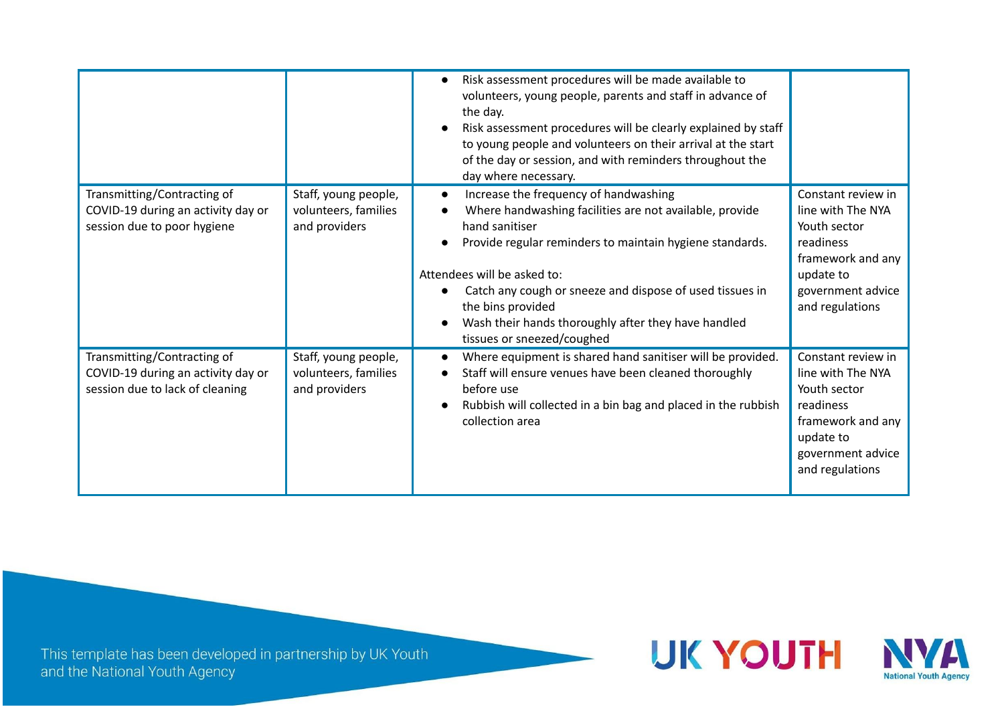|                                                                                                      |                                                               | Risk assessment procedures will be made available to<br>volunteers, young people, parents and staff in advance of<br>the day.<br>Risk assessment procedures will be clearly explained by staff<br>to young people and volunteers on their arrival at the start<br>of the day or session, and with reminders throughout the<br>day where necessary.                                  |                                                                                                                                                |
|------------------------------------------------------------------------------------------------------|---------------------------------------------------------------|-------------------------------------------------------------------------------------------------------------------------------------------------------------------------------------------------------------------------------------------------------------------------------------------------------------------------------------------------------------------------------------|------------------------------------------------------------------------------------------------------------------------------------------------|
| Transmitting/Contracting of<br>COVID-19 during an activity day or<br>session due to poor hygiene     | Staff, young people,<br>volunteers, families<br>and providers | Increase the frequency of handwashing<br>Where handwashing facilities are not available, provide<br>hand sanitiser<br>Provide regular reminders to maintain hygiene standards.<br>Attendees will be asked to:<br>Catch any cough or sneeze and dispose of used tissues in<br>the bins provided<br>Wash their hands thoroughly after they have handled<br>tissues or sneezed/coughed | Constant review in<br>line with The NYA<br>Youth sector<br>readiness<br>framework and any<br>update to<br>government advice<br>and regulations |
| Transmitting/Contracting of<br>COVID-19 during an activity day or<br>session due to lack of cleaning | Staff, young people,<br>volunteers, families<br>and providers | Where equipment is shared hand sanitiser will be provided.<br>Staff will ensure venues have been cleaned thoroughly<br>before use<br>Rubbish will collected in a bin bag and placed in the rubbish<br>collection area                                                                                                                                                               | Constant review in<br>line with The NYA<br>Youth sector<br>readiness<br>framework and any<br>update to<br>government advice<br>and regulations |

This template has been developed in partnership by UK Youth<br>and the National Youth Agency